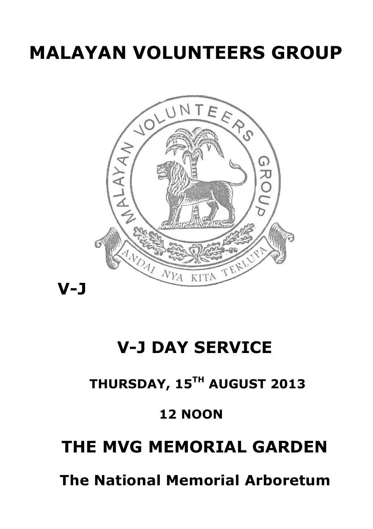# **MALAYAN VOLUNTEERS GROUP**



# **V-J DAY SERVICE**

# **THURSDAY, 15TH AUGUST 2013**

# **12 NOON**

# **THE MVG MEMORIAL GARDEN**

 **The National Memorial Arboretum**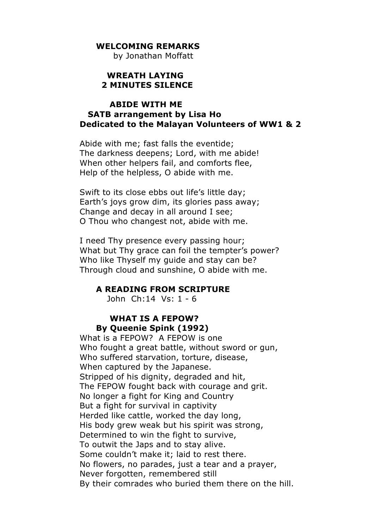#### **WELCOMING REMARKS**

by Jonathan Moffatt

#### **WREATH LAYING 2 MINUTES SILENCE**

### **ABIDE WITH ME SATB arrangement by Lisa Ho Dedicated to the Malayan Volunteers of WW1 & 2**

Abide with me; fast falls the eventide; The darkness deepens; Lord, with me abide! When other helpers fail, and comforts flee, Help of the helpless, O abide with me.

Swift to its close ebbs out life's little day; Earth's joys grow dim, its glories pass away; Change and decay in all around I see; O Thou who changest not, abide with me.

I need Thy presence every passing hour; What but Thy grace can foil the tempter's power? Who like Thyself my guide and stay can be? Through cloud and sunshine, O abide with me.

#### **A READING FROM SCRIPTURE**

John Ch:14 Vs: 1 - 6

## **WHAT IS A FEPOW? By Queenie Spink (1992)**

What is a FEPOW? A FEPOW is one Who fought a great battle, without sword or gun, Who suffered starvation, torture, disease, When captured by the Japanese. Stripped of his dignity, degraded and hit, The FEPOW fought back with courage and grit. No longer a fight for King and Country But a fight for survival in captivity Herded like cattle, worked the day long, His body grew weak but his spirit was strong, Determined to win the fight to survive, To outwit the Japs and to stay alive. Some couldn't make it; laid to rest there. No flowers, no parades, just a tear and a prayer, Never forgotten, remembered still By their comrades who buried them there on the hill.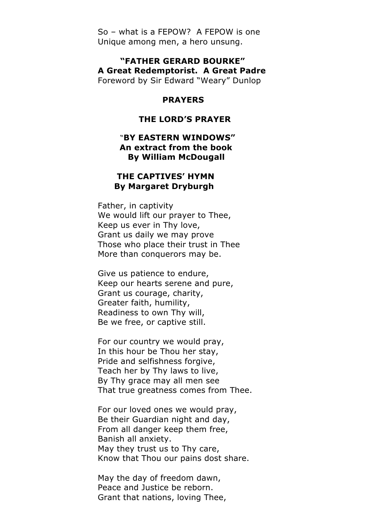So – what is a FEPOW? A FEPOW is one Unique among men, a hero unsung.

 **"FATHER GERARD BOURKE" A Great Redemptorist. A Great Padre** Foreword by Sir Edward "Weary" Dunlop

#### **PRAYERS**

#### **THE LORD'S PRAYER**

#### "**BY EASTERN WINDOWS" An extract from the book By William McDougall**

#### **THE CAPTIVES' HYMN By Margaret Dryburgh**

Father, in captivity We would lift our prayer to Thee, Keep us ever in Thy love, Grant us daily we may prove Those who place their trust in Thee More than conquerors may be.

Give us patience to endure, Keep our hearts serene and pure, Grant us courage, charity, Greater faith, humility, Readiness to own Thy will, Be we free, or captive still.

For our country we would pray, In this hour be Thou her stay, Pride and selfishness forgive, Teach her by Thy laws to live, By Thy grace may all men see That true greatness comes from Thee.

For our loved ones we would pray, Be their Guardian night and day, From all danger keep them free, Banish all anxiety. May they trust us to Thy care, Know that Thou our pains dost share.

May the day of freedom dawn, Peace and Justice be reborn. Grant that nations, loving Thee,